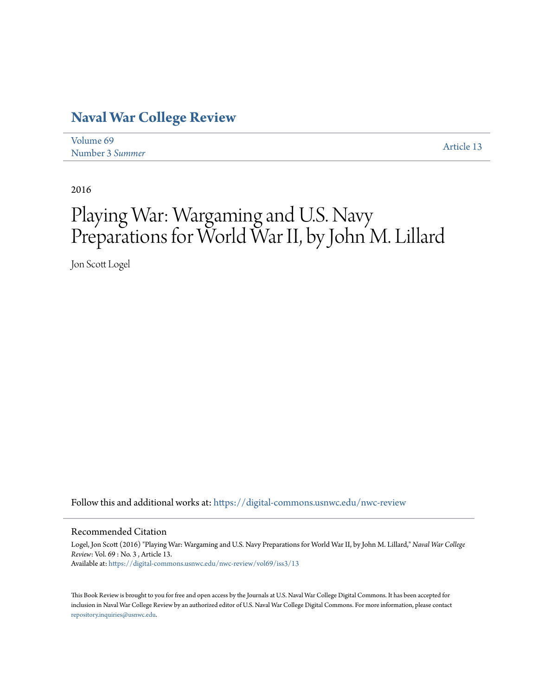## **[Naval War College Review](https://digital-commons.usnwc.edu/nwc-review?utm_source=digital-commons.usnwc.edu%2Fnwc-review%2Fvol69%2Fiss3%2F13&utm_medium=PDF&utm_campaign=PDFCoverPages)**

| Volume 69       | Article 13 |
|-----------------|------------|
| Number 3 Summer |            |

2016

## Playing War: Wargaming and U.S. Navy Preparations for World War II, by John M. Lillard

Jon Scott Logel

Follow this and additional works at: [https://digital-commons.usnwc.edu/nwc-review](https://digital-commons.usnwc.edu/nwc-review?utm_source=digital-commons.usnwc.edu%2Fnwc-review%2Fvol69%2Fiss3%2F13&utm_medium=PDF&utm_campaign=PDFCoverPages)

## Recommended Citation

Logel, Jon Scott (2016) "Playing War: Wargaming and U.S. Navy Preparations for World War II, by John M. Lillard," *Naval War College Review*: Vol. 69 : No. 3 , Article 13. Available at: [https://digital-commons.usnwc.edu/nwc-review/vol69/iss3/13](https://digital-commons.usnwc.edu/nwc-review/vol69/iss3/13?utm_source=digital-commons.usnwc.edu%2Fnwc-review%2Fvol69%2Fiss3%2F13&utm_medium=PDF&utm_campaign=PDFCoverPages)

This Book Review is brought to you for free and open access by the Journals at U.S. Naval War College Digital Commons. It has been accepted for inclusion in Naval War College Review by an authorized editor of U.S. Naval War College Digital Commons. For more information, please contact [repository.inquiries@usnwc.edu](mailto:repository.inquiries@usnwc.edu).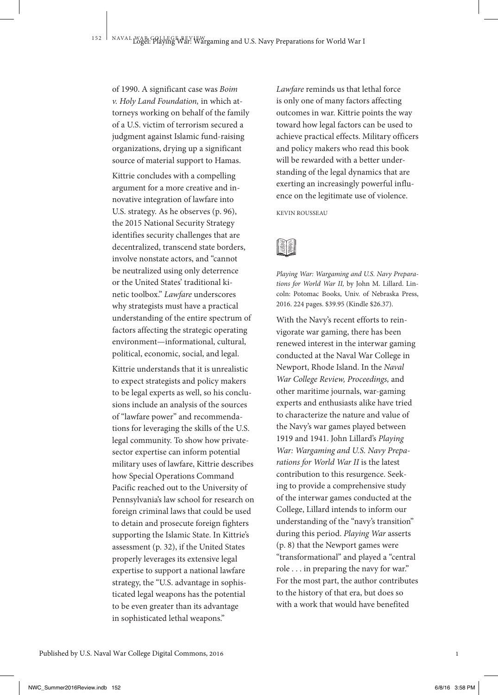of 1990. A significant case was *Boim v. Holy Land Foundation,* in which attorneys working on behalf of the family of a U.S. victim of terrorism secured a judgment against Islamic fund-raising organizations, drying up a significant source of material support to Hamas.

Kittrie concludes with a compelling argument for a more creative and innovative integration of lawfare into U.S. strategy. As he observes (p. 96), the 2015 National Security Strategy identifies security challenges that are decentralized, transcend state borders, involve nonstate actors, and "cannot be neutralized using only deterrence or the United States' traditional kinetic toolbox." *Lawfare* underscores why strategists must have a practical understanding of the entire spectrum of factors affecting the strategic operating environment—informational, cultural, political, economic, social, and legal.

Kittrie understands that it is unrealistic to expect strategists and policy makers to be legal experts as well, so his conclusions include an analysis of the sources of "lawfare power" and recommendations for leveraging the skills of the U.S. legal community. To show how privatesector expertise can inform potential military uses of lawfare, Kittrie describes how Special Operations Command Pacific reached out to the University of Pennsylvania's law school for research on foreign criminal laws that could be used to detain and prosecute foreign fighters supporting the Islamic State. In Kittrie's assessment (p. 32), if the United States properly leverages its extensive legal expertise to support a national lawfare strategy, the "U.S. advantage in sophisticated legal weapons has the potential to be even greater than its advantage in sophisticated lethal weapons."

*Lawfare* reminds us that lethal force is only one of many factors affecting outcomes in war. Kittrie points the way toward how legal factors can be used to achieve practical effects. Military officers and policy makers who read this book will be rewarded with a better understanding of the legal dynamics that are exerting an increasingly powerful influence on the legitimate use of violence.

KEVIN ROUSSEAU



*Playing War: Wargaming and U.S. Navy Preparations for World War II,* by John M. Lillard. Lincoln: Potomac Books, Univ. of Nebraska Press, 2016. 224 pages. \$39.95 (Kindle \$26.37).

With the Navy's recent efforts to reinvigorate war gaming, there has been renewed interest in the interwar gaming conducted at the Naval War College in Newport, Rhode Island. In the *Naval War College Review, Proceedings,* and other maritime journals, war-gaming experts and enthusiasts alike have tried to characterize the nature and value of the Navy's war games played between 1919 and 1941. John Lillard's *Playing War: Wargaming and U.S. Navy Preparations for World War II* is the latest contribution to this resurgence. Seeking to provide a comprehensive study of the interwar games conducted at the College, Lillard intends to inform our understanding of the "navy's transition" during this period. *Playing War* asserts (p. 8) that the Newport games were "transformational" and played a "central role . . . in preparing the navy for war." For the most part, the author contributes to the history of that era, but does so with a work that would have benefited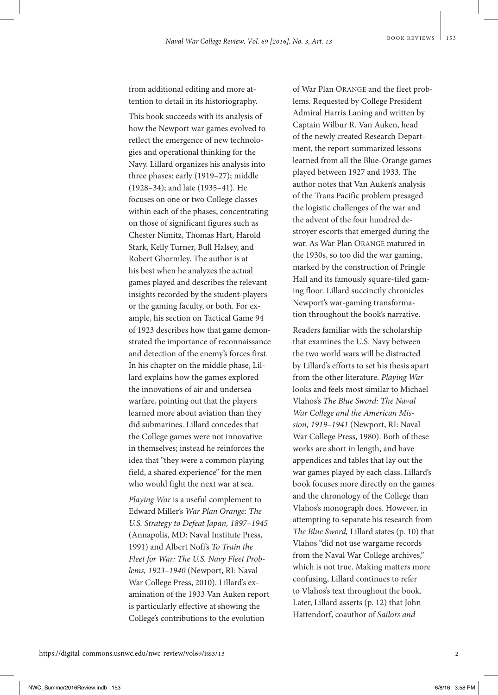from additional editing and more attention to detail in its historiography.

This book succeeds with its analysis of how the Newport war games evolved to reflect the emergence of new technologies and operational thinking for the Navy. Lillard organizes his analysis into three phases: early (1919–27); middle (1928–34); and late (1935–41). He focuses on one or two College classes within each of the phases, concentrating on those of significant figures such as Chester Nimitz, Thomas Hart, Harold Stark, Kelly Turner, Bull Halsey, and Robert Ghormley. The author is at his best when he analyzes the actual games played and describes the relevant insights recorded by the student-players or the gaming faculty, or both. For example, his section on Tactical Game 94 of 1923 describes how that game demonstrated the importance of reconnaissance and detection of the enemy's forces first. In his chapter on the middle phase, Lillard explains how the games explored the innovations of air and undersea warfare, pointing out that the players learned more about aviation than they did submarines. Lillard concedes that the College games were not innovative in themselves; instead he reinforces the idea that "they were a common playing field, a shared experience" for the men who would fight the next war at sea.

*Playing War* is a useful complement to Edward Miller's *War Plan Orange: The U.S. Strategy to Defeat Japan, 1897–1945* (Annapolis, MD: Naval Institute Press, 1991) and Albert Nofi's *To Train the Fleet for War: The U.S. Navy Fleet Problems, 1923–1940* (Newport, RI: Naval War College Press, 2010). Lillard's examination of the 1933 Van Auken report is particularly effective at showing the College's contributions to the evolution

of War Plan ORANGE and the fleet problems. Requested by College President Admiral Harris Laning and written by Captain Wilbur R. Van Auken, head of the newly created Research Department, the report summarized lessons learned from all the Blue-Orange games played between 1927 and 1933. The author notes that Van Auken's analysis of the Trans Pacific problem presaged the logistic challenges of the war and the advent of the four hundred destroyer escorts that emerged during the war. As War Plan ORANGE matured in the 1930s, so too did the war gaming, marked by the construction of Pringle Hall and its famously square-tiled gaming floor. Lillard succinctly chronicles Newport's war-gaming transformation throughout the book's narrative.

Readers familiar with the scholarship that examines the U.S. Navy between the two world wars will be distracted by Lillard's efforts to set his thesis apart from the other literature. *Playing War* looks and feels most similar to Michael Vlahos's *The Blue Sword: The Naval War College and the American Mission, 1919–1941* (Newport, RI: Naval War College Press, 1980). Both of these works are short in length, and have appendices and tables that lay out the war games played by each class. Lillard's book focuses more directly on the games and the chronology of the College than Vlahos's monograph does. However, in attempting to separate his research from *The Blue Sword,* Lillard states (p. 10) that Vlahos "did not use wargame records from the Naval War College archives," which is not true. Making matters more confusing, Lillard continues to refer to Vlahos's text throughout the book. Later, Lillard asserts (p. 12) that John Hattendorf, coauthor of *Sailors and*